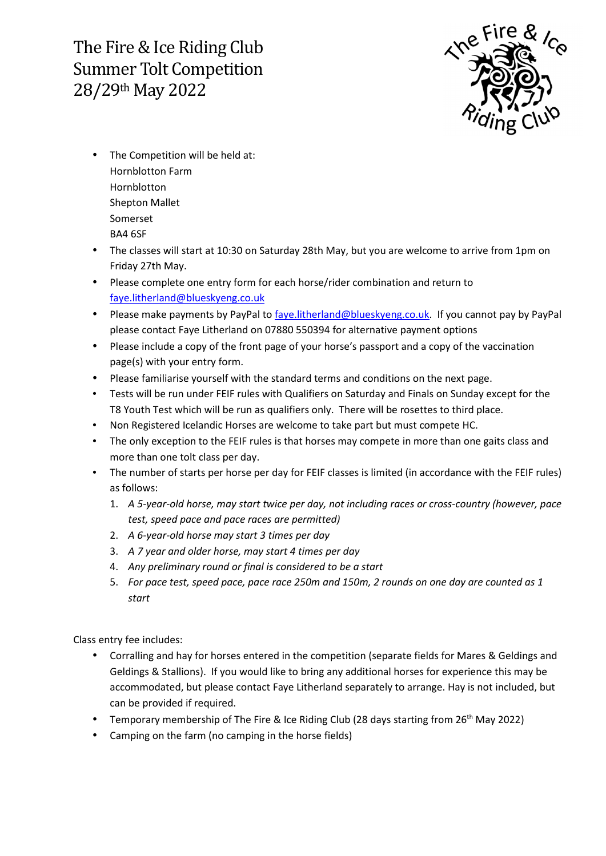The Fire & Ice Riding Club Summer Tolt Competition 28/29th May 2022



- The Competition will be held at: Hornblotton Farm Hornblotton Shepton Mallet Somerset BA4 6SF
- The classes will start at 10:30 on Saturday 28th May, but you are welcome to arrive from 1pm on Friday 27th May.
- Please complete one entry form for each horse/rider combination and return to faye.litherland@blueskyeng.co.uk
- Please make payments by PayPal to faye.litherland@blueskyeng.co.uk. If you cannot pay by PayPal please contact Faye Litherland on 07880 550394 for alternative payment options
- Please include a copy of the front page of your horse's passport and a copy of the vaccination page(s) with your entry form.
- Please familiarise yourself with the standard terms and conditions on the next page.
- Tests will be run under FEIF rules with Qualifiers on Saturday and Finals on Sunday except for the T8 Youth Test which will be run as qualifiers only. There will be rosettes to third place.
- Non Registered Icelandic Horses are welcome to take part but must compete HC.
- The only exception to the FEIF rules is that horses may compete in more than one gaits class and more than one tolt class per day.
- The number of starts per horse per day for FEIF classes is limited (in accordance with the FEIF rules) as follows:
	- 1. *A 5-year-old horse, may start twice per day, not including races or cross-country (however, pace test, speed pace and pace races are permitted)*
	- 2. *A 6-year-old horse may start 3 times per day*
	- 3. *A 7 year and older horse, may start 4 times per day*
	- 4. *Any preliminary round or final is considered to be a start*
	- 5. *For pace test, speed pace, pace race 250m and 150m, 2 rounds on one day are counted as 1 start*

Class entry fee includes:

- Corralling and hay for horses entered in the competition (separate fields for Mares & Geldings and Geldings & Stallions). If you would like to bring any additional horses for experience this may be accommodated, but please contact Faye Litherland separately to arrange. Hay is not included, but can be provided if required.
- Temporary membership of The Fire & Ice Riding Club (28 days starting from 26<sup>th</sup> May 2022)
- Camping on the farm (no camping in the horse fields)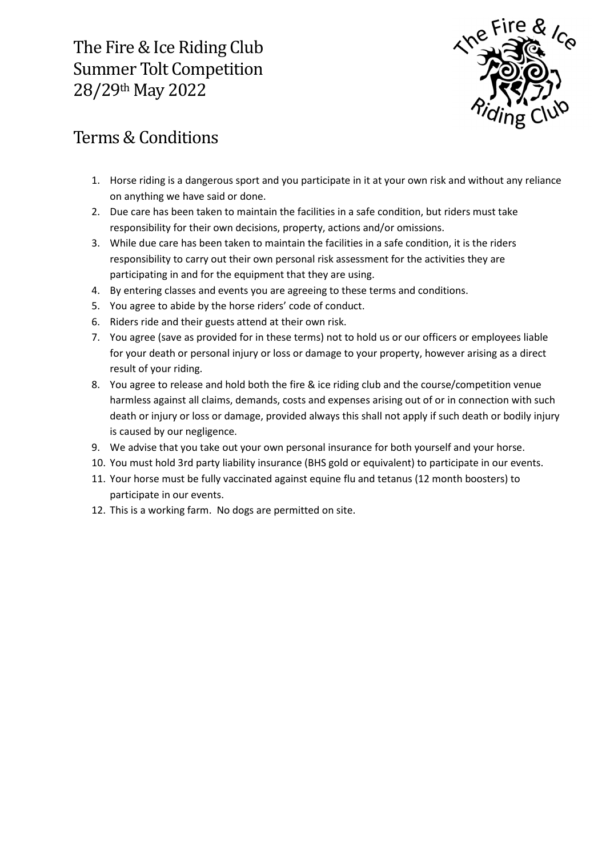The Fire & Ice Riding Club Summer Tolt Competition 28/29th May 2022



## Terms & Conditions

- 1. Horse riding is a dangerous sport and you participate in it at your own risk and without any reliance on anything we have said or done.
- 2. Due care has been taken to maintain the facilities in a safe condition, but riders must take responsibility for their own decisions, property, actions and/or omissions.
- 3. While due care has been taken to maintain the facilities in a safe condition, it is the riders responsibility to carry out their own personal risk assessment for the activities they are participating in and for the equipment that they are using.
- 4. By entering classes and events you are agreeing to these terms and conditions.
- 5. You agree to abide by the horse riders' code of conduct.
- 6. Riders ride and their guests attend at their own risk.
- 7. You agree (save as provided for in these terms) not to hold us or our officers or employees liable for your death or personal injury or loss or damage to your property, however arising as a direct result of your riding.
- 8. You agree to release and hold both the fire & ice riding club and the course/competition venue harmless against all claims, demands, costs and expenses arising out of or in connection with such death or injury or loss or damage, provided always this shall not apply if such death or bodily injury is caused by our negligence.
- 9. We advise that you take out your own personal insurance for both yourself and your horse.
- 10. You must hold 3rd party liability insurance (BHS gold or equivalent) to participate in our events.
- 11. Your horse must be fully vaccinated against equine flu and tetanus (12 month boosters) to participate in our events.
- 12. This is a working farm. No dogs are permitted on site.